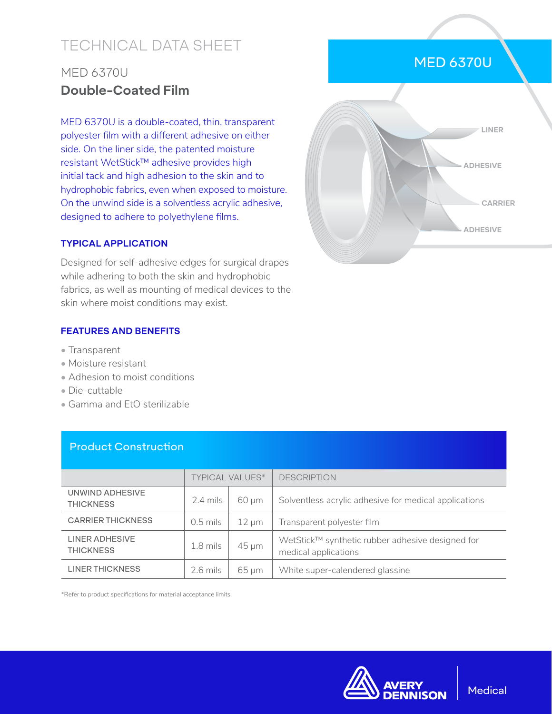# TECHNICAL DATA SHEET

## MED 6370U **Double-Coated Film**

MED 6370U is a double-coated, thin, transparent polyester film with a different adhesive on either side. On the liner side, the patented moisture resistant WetStick™ adhesive provides high initial tack and high adhesion to the skin and to hydrophobic fabrics, even when exposed to moisture. On the unwind side is a solventless acrylic adhesive, designed to adhere to polyethylene films.

#### **TYPICAL APPLICATION**

Designed for self-adhesive edges for surgical drapes while adhering to both the skin and hydrophobic fabrics, as well as mounting of medical devices to the skin where moist conditions may exist.

#### **FEATURES AND BENEFITS**

- Transparent
- Moisture resistant
- Adhesion to moist conditions
- Die-cuttable
- Gamma and EtO sterilizable

Product Construction

|                                     | <b>TYPICAL VALUES*</b> |            | <b>DESCRIPTION</b>                                                       |  |
|-------------------------------------|------------------------|------------|--------------------------------------------------------------------------|--|
| UNWIND ADHESIVE<br><b>THICKNESS</b> | $2.4$ mils             | $60 \mu m$ | Solventless acrylic adhesive for medical applications                    |  |
| <b>CARRIER THICKNESS</b>            | $0.5$ mils             | $12 \mu m$ | Transparent polyester film                                               |  |
| LINER ADHESIVE<br><b>THICKNESS</b>  | $1.8$ mils             | $45 \mu m$ | WetStick™ synthetic rubber adhesive designed for<br>medical applications |  |
| <b>LINER THICKNESS</b>              | $2.6$ mils             | $65 \mu m$ | White super-calendered glassine                                          |  |

\*Refer to product specifications for material acceptance limits.